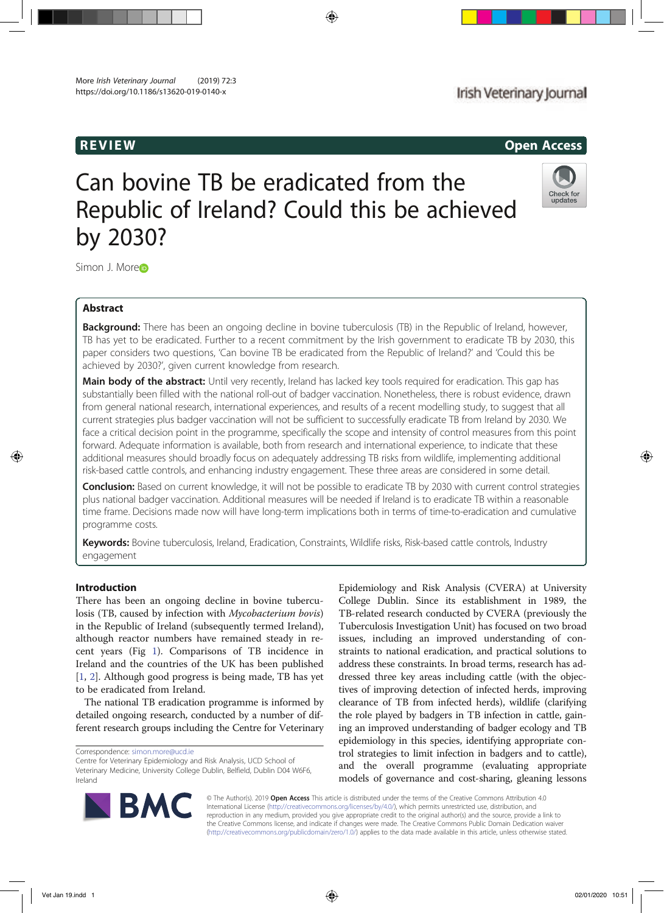# REVIEW Open Access

# Can bovine TB be eradicated from the Republic of Ireland? Could this be achieved by 2030?



Simon J. More<sub>D</sub>

# Abstract

**Background:** There has been an ongoing decline in bovine tuberculosis (TB) in the Republic of Ireland, however, TB has yet to be eradicated. Further to a recent commitment by the Irish government to eradicate TB by 2030, this paper considers two questions, 'Can bovine TB be eradicated from the Republic of Ireland?' and 'Could this be achieved by 2030?', given current knowledge from research.

Main body of the abstract: Until very recently, Ireland has lacked key tools required for eradication. This gap has substantially been filled with the national roll-out of badger vaccination. Nonetheless, there is robust evidence, drawn from general national research, international experiences, and results of a recent modelling study, to suggest that all current strategies plus badger vaccination will not be sufficient to successfully eradicate TB from Ireland by 2030. We face a critical decision point in the programme, specifically the scope and intensity of control measures from this point forward. Adequate information is available, both from research and international experience, to indicate that these additional measures should broadly focus on adequately addressing TB risks from wildlife, implementing additional risk-based cattle controls, and enhancing industry engagement. These three areas are considered in some detail.

**Conclusion:** Based on current knowledge, it will not be possible to eradicate TB by 2030 with current control strategies plus national badger vaccination. Additional measures will be needed if Ireland is to eradicate TB within a reasonable time frame. Decisions made now will have long-term implications both in terms of time-to-eradication and cumulative programme costs.

Keywords: Bovine tuberculosis, Ireland, Eradication, Constraints, Wildlife risks, Risk-based cattle controls, Industry engagement

# Introduction

There has been an ongoing decline in bovine tuberculosis (TB, caused by infection with Mycobacterium bovis) in the Republic of Ireland (subsequently termed Ireland), although reactor numbers have remained steady in recent years (Fig 1). Comparisons of TB incidence in Ireland and the countries of the UK has been published [1, 2]. Although good progress is being made, TB has yet to be eradicated from Ireland.

The national TB eradication programme is informed by detailed ongoing research, conducted by a number of different research groups including the Centre for Veterinary

Epidemiology and Risk Analysis (CVERA) at University College Dublin. Since its establishment in 1989, the TB-related research conducted by CVERA (previously the Tuberculosis Investigation Unit) has focused on two broad issues, including an improved understanding of constraints to national eradication, and practical solutions to address these constraints. In broad terms, research has addressed three key areas including cattle (with the objectives of improving detection of infected herds, improving clearance of TB from infected herds), wildlife (clarifying the role played by badgers in TB infection in cattle, gaining an improved understanding of badger ecology and TB epidemiology in this species, identifying appropriate control strategies to limit infection in badgers and to cattle), and the overall programme (evaluating appropriate models of governance and cost-sharing, gleaning lessons



© The Author(s). 2019 Open Access This article is distributed under the terms of the Creative Commons Attribution 4.0 International License (http://creativecommons.org/licenses/by/4.0/), which permits unrestricted use, distribution, and reproduction in any medium, provided you give appropriate credit to the original author(s) and the source, provide a link to the Creative Commons license, and indicate if changes were made. The Creative Commons Public Domain Dedication waiver (http://creativecommons.org/publicdomain/zero/1.0/) applies to the data made available in this article, unless otherwise stated.

Correspondence: simon.more@ucd.ie

Centre for Veterinary Epidemiology and Risk Analysis, UCD School of Veterinary Medicine, University College Dublin, Belfield, Dublin D04 W6F6, Ireland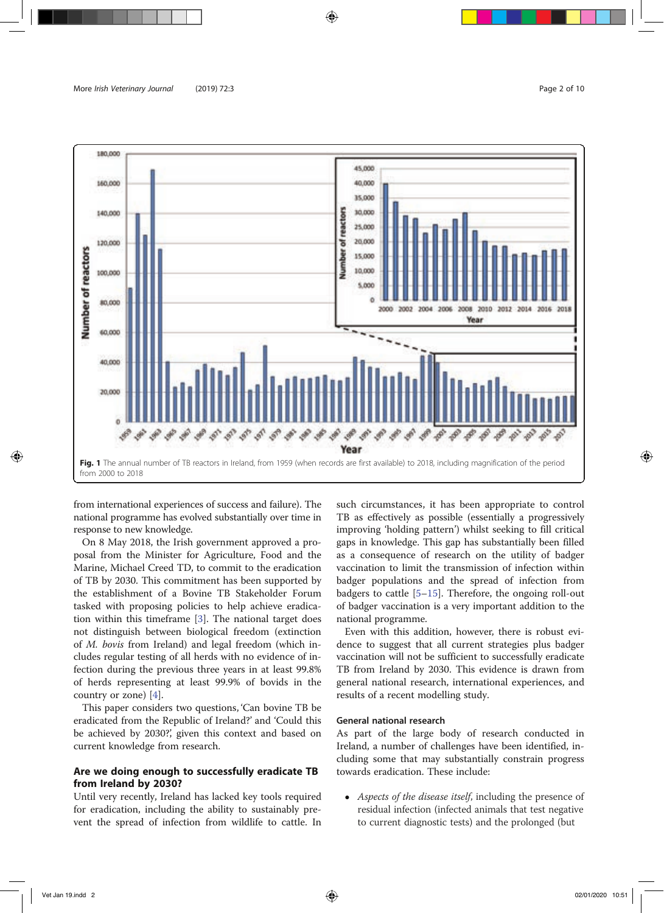

from international experiences of success and failure). The national programme has evolved substantially over time in response to new knowledge.

On 8 May 2018, the Irish government approved a proposal from the Minister for Agriculture, Food and the Marine, Michael Creed TD, to commit to the eradication of TB by 2030. This commitment has been supported by the establishment of a Bovine TB Stakeholder Forum tasked with proposing policies to help achieve eradication within this timeframe [3]. The national target does not distinguish between biological freedom (extinction of M. bovis from Ireland) and legal freedom (which includes regular testing of all herds with no evidence of infection during the previous three years in at least 99.8% of herds representing at least 99.9% of bovids in the country or zone) [4].

This paper considers two questions, 'Can bovine TB be eradicated from the Republic of Ireland?' and 'Could this be achieved by 2030?', given this context and based on current knowledge from research.

# Are we doing enough to successfully eradicate TB from Ireland by 2030?

Until very recently, Ireland has lacked key tools required for eradication, including the ability to sustainably prevent the spread of infection from wildlife to cattle. In such circumstances, it has been appropriate to control TB as effectively as possible (essentially a progressively improving 'holding pattern') whilst seeking to fill critical gaps in knowledge. This gap has substantially been filled as a consequence of research on the utility of badger vaccination to limit the transmission of infection within badger populations and the spread of infection from badgers to cattle [5–15]. Therefore, the ongoing roll-out of badger vaccination is a very important addition to the national programme.

Even with this addition, however, there is robust evidence to suggest that all current strategies plus badger vaccination will not be sufficient to successfully eradicate TB from Ireland by 2030. This evidence is drawn from general national research, international experiences, and results of a recent modelling study.

# General national research

As part of the large body of research conducted in Ireland, a number of challenges have been identified, including some that may substantially constrain progress towards eradication. These include:

• Aspects of the disease itself, including the presence of residual infection (infected animals that test negative to current diagnostic tests) and the prolonged (but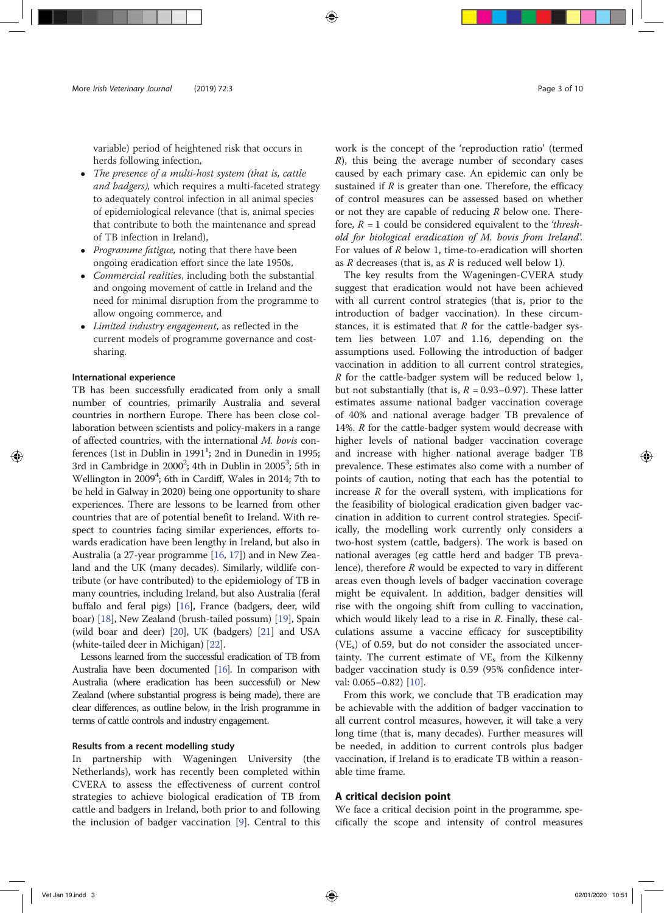variable) period of heightened risk that occurs in herds following infection,

- The presence of a multi-host system (that is, cattle and badgers), which requires a multi-faceted strategy to adequately control infection in all animal species of epidemiological relevance (that is, animal species that contribute to both the maintenance and spread of TB infection in Ireland),
- Programme fatigue, noting that there have been ongoing eradication effort since the late 1950s,
- *Commercial realities*, including both the substantial and ongoing movement of cattle in Ireland and the need for minimal disruption from the programme to allow ongoing commerce, and
- Limited industry engagement, as reflected in the current models of programme governance and costsharing.

## International experience

TB has been successfully eradicated from only a small number of countries, primarily Australia and several countries in northern Europe. There has been close collaboration between scientists and policy-makers in a range of affected countries, with the international M. bovis conferences (1st in Dublin in 1991 $^1$ ; 2nd in Dunedin in 1995; 3rd in Cambridge in 2000<sup>2</sup>; 4th in Dublin in 2005<sup>3</sup>; 5th in Wellington in 2009<sup>4</sup>; 6th in Cardiff, Wales in 2014; 7th to be held in Galway in 2020) being one opportunity to share experiences. There are lessons to be learned from other countries that are of potential benefit to Ireland. With respect to countries facing similar experiences, efforts towards eradication have been lengthy in Ireland, but also in Australia (a 27-year programme [16, 17]) and in New Zealand and the UK (many decades). Similarly, wildlife contribute (or have contributed) to the epidemiology of TB in many countries, including Ireland, but also Australia (feral buffalo and feral pigs) [16], France (badgers, deer, wild boar) [18], New Zealand (brush-tailed possum) [19], Spain (wild boar and deer) [20], UK (badgers) [21] and USA (white-tailed deer in Michigan) [22].

Lessons learned from the successful eradication of TB from Australia have been documented [16]. In comparison with Australia (where eradication has been successful) or New Zealand (where substantial progress is being made), there are clear differences, as outline below, in the Irish programme in terms of cattle controls and industry engagement.

# Results from a recent modelling study

In partnership with Wageningen University (the Netherlands), work has recently been completed within CVERA to assess the effectiveness of current control strategies to achieve biological eradication of TB from cattle and badgers in Ireland, both prior to and following the inclusion of badger vaccination [9]. Central to this

work is the concept of the 'reproduction ratio' (termed  $R$ ), this being the average number of secondary cases caused by each primary case. An epidemic can only be sustained if  $R$  is greater than one. Therefore, the efficacy of control measures can be assessed based on whether or not they are capable of reducing  $R$  below one. Therefore,  $R = 1$  could be considered equivalent to the 'threshold for biological eradication of M. bovis from Ireland'. For values of R below 1, time-to-eradication will shorten as  $R$  decreases (that is, as  $R$  is reduced well below 1).

The key results from the Wageningen-CVERA study suggest that eradication would not have been achieved with all current control strategies (that is, prior to the introduction of badger vaccination). In these circumstances, it is estimated that  $R$  for the cattle-badger system lies between 1.07 and 1.16, depending on the assumptions used. Following the introduction of badger vaccination in addition to all current control strategies, R for the cattle-badger system will be reduced below 1, but not substantially (that is,  $R = 0.93 - 0.97$ ). These latter estimates assume national badger vaccination coverage of 40% and national average badger TB prevalence of 14%.  $R$  for the cattle-badger system would decrease with higher levels of national badger vaccination coverage and increase with higher national average badger TB prevalence. These estimates also come with a number of points of caution, noting that each has the potential to increase  $R$  for the overall system, with implications for the feasibility of biological eradication given badger vaccination in addition to current control strategies. Specifically, the modelling work currently only considers a two-host system (cattle, badgers). The work is based on national averages (eg cattle herd and badger TB prevalence), therefore  $R$  would be expected to vary in different areas even though levels of badger vaccination coverage might be equivalent. In addition, badger densities will rise with the ongoing shift from culling to vaccination, which would likely lead to a rise in  $R$ . Finally, these calculations assume a vaccine efficacy for susceptibility  $(VE<sub>s</sub>)$  of 0.59, but do not consider the associated uncertainty. The current estimate of  $VE<sub>s</sub>$  from the Kilkenny badger vaccination study is 0.59 (95% confidence interval: 0.065–0.82) [10].

From this work, we conclude that TB eradication may be achievable with the addition of badger vaccination to all current control measures, however, it will take a very long time (that is, many decades). Further measures will be needed, in addition to current controls plus badger vaccination, if Ireland is to eradicate TB within a reasonable time frame.

## A critical decision point

We face a critical decision point in the programme, specifically the scope and intensity of control measures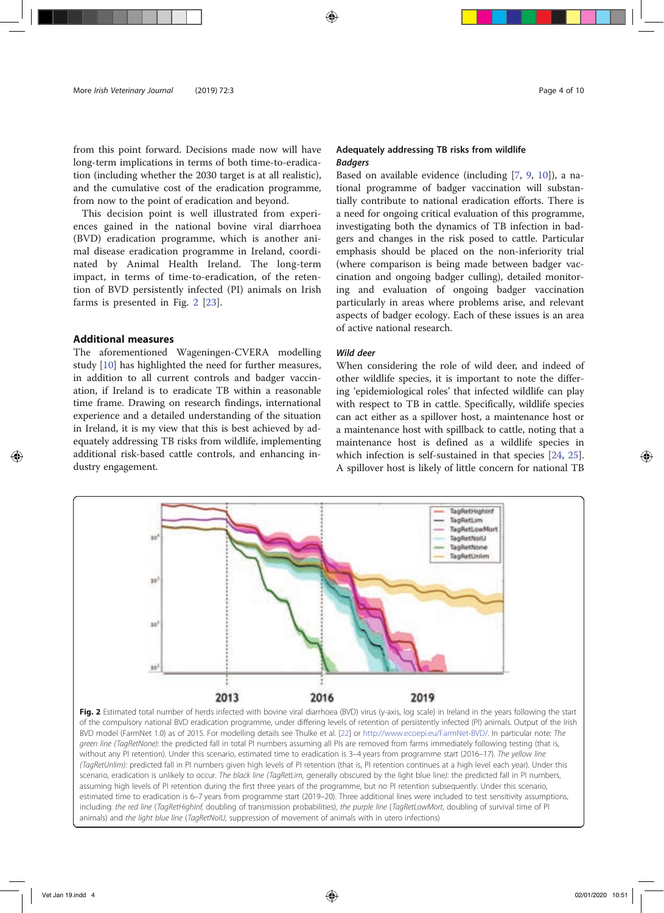from this point forward. Decisions made now will have long-term implications in terms of both time-to-eradication (including whether the 2030 target is at all realistic), and the cumulative cost of the eradication programme, from now to the point of eradication and beyond.

This decision point is well illustrated from experiences gained in the national bovine viral diarrhoea (BVD) eradication programme, which is another animal disease eradication programme in Ireland, coordinated by Animal Health Ireland. The long-term impact, in terms of time-to-eradication, of the retention of BVD persistently infected (PI) animals on Irish farms is presented in Fig. 2 [23].

# Additional measures

The aforementioned Wageningen-CVERA modelling study [10] has highlighted the need for further measures, in addition to all current controls and badger vaccination, if Ireland is to eradicate TB within a reasonable time frame. Drawing on research findings, international experience and a detailed understanding of the situation in Ireland, it is my view that this is best achieved by adequately addressing TB risks from wildlife, implementing additional risk-based cattle controls, and enhancing industry engagement.

# Adequately addressing TB risks from wildlife Badgers

Based on available evidence (including [7, 9, 10]), a national programme of badger vaccination will substantially contribute to national eradication efforts. There is a need for ongoing critical evaluation of this programme, investigating both the dynamics of TB infection in badgers and changes in the risk posed to cattle. Particular emphasis should be placed on the non-inferiority trial (where comparison is being made between badger vaccination and ongoing badger culling), detailed monitoring and evaluation of ongoing badger vaccination particularly in areas where problems arise, and relevant aspects of badger ecology. Each of these issues is an area of active national research.

# Wild deer

When considering the role of wild deer, and indeed of other wildlife species, it is important to note the differing 'epidemiological roles' that infected wildlife can play with respect to TB in cattle. Specifically, wildlife species can act either as a spillover host, a maintenance host or a maintenance host with spillback to cattle, noting that a maintenance host is defined as a wildlife species in which infection is self-sustained in that species [24, 25]. A spillover host is likely of little concern for national TB



Fig. 2 Estimated total number of herds infected with bovine viral diarrhoea (BVD) virus (y-axis, log scale) in Ireland in the years following the start of the compulsory national BVD eradication programme, under differing levels of retention of persistently infected (PI) animals. Output of the Irish BVD model (FarmNet 1.0) as of 2015. For modelling details see Thulke et al. [22] or http://www.ecoepi.eu/FarmNet-BVD/. In particular note: The green line (TagRetNone): the predicted fall in total PI numbers assuming all PIs are removed from farms immediately following testing (that is, without any PI retention). Under this scenario, estimated time to eradication is 3-4 years from programme start (2016-17). The yellow line (TagRetUnlim): predicted fall in PI numbers given high levels of PI retention (that is, PI retention continues at a high level each year). Under this scenario, eradication is unlikely to occur. The black line (TagRetLim, generally obscured by the light blue line): the predicted fall in PI numbers, assuming high levels of PI retention during the first three years of the programme, but no PI retention subsequently. Under this scenario, estimated time to eradication is 6–7 years from programme start (2019–20). Three additional lines were included to test sensitivity assumptions, including: the red line (TagRetHighInf, doubling of transmission probabilities), the purple line (TagRetLowMort, doubling of survival time of PI animals) and the light blue line (TagRetNoIU, suppression of movement of animals with in utero infections)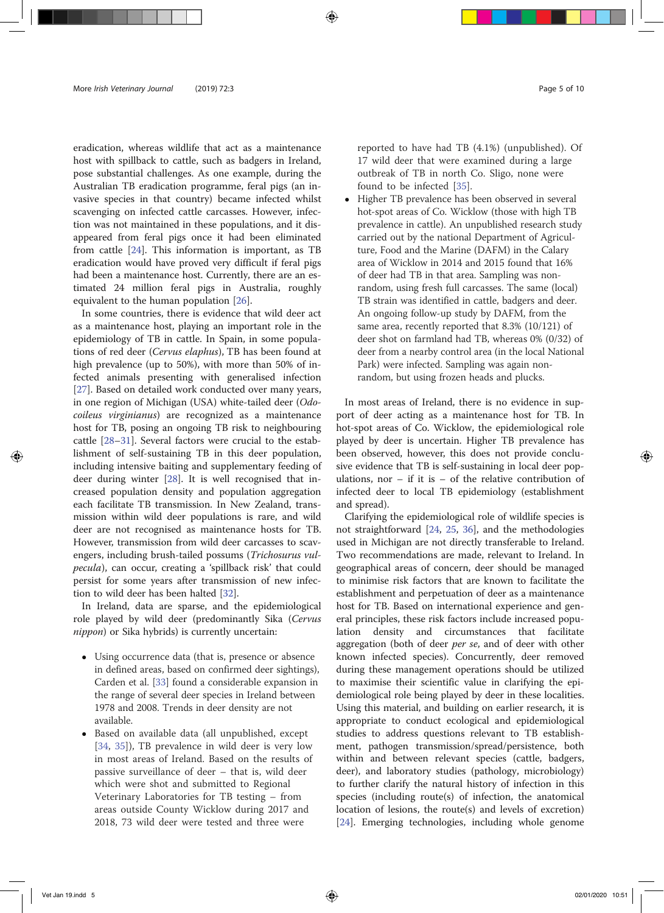eradication, whereas wildlife that act as a maintenance host with spillback to cattle, such as badgers in Ireland, pose substantial challenges. As one example, during the Australian TB eradication programme, feral pigs (an invasive species in that country) became infected whilst scavenging on infected cattle carcasses. However, infection was not maintained in these populations, and it disappeared from feral pigs once it had been eliminated from cattle [24]. This information is important, as TB eradication would have proved very difficult if feral pigs had been a maintenance host. Currently, there are an estimated 24 million feral pigs in Australia, roughly equivalent to the human population [26].

In some countries, there is evidence that wild deer act as a maintenance host, playing an important role in the epidemiology of TB in cattle. In Spain, in some populations of red deer (Cervus elaphus), TB has been found at high prevalence (up to 50%), with more than 50% of infected animals presenting with generalised infection [27]. Based on detailed work conducted over many years, in one region of Michigan (USA) white-tailed deer (Odocoileus virginianus) are recognized as a maintenance host for TB, posing an ongoing TB risk to neighbouring cattle [28–31]. Several factors were crucial to the establishment of self-sustaining TB in this deer population, including intensive baiting and supplementary feeding of deer during winter [28]. It is well recognised that increased population density and population aggregation each facilitate TB transmission. In New Zealand, transmission within wild deer populations is rare, and wild deer are not recognised as maintenance hosts for TB. However, transmission from wild deer carcasses to scavengers, including brush-tailed possums (Trichosurus vulpecula), can occur, creating a 'spillback risk' that could persist for some years after transmission of new infection to wild deer has been halted [32].

In Ireland, data are sparse, and the epidemiological role played by wild deer (predominantly Sika (Cervus nippon) or Sika hybrids) is currently uncertain:

- Using occurrence data (that is, presence or absence in defined areas, based on confirmed deer sightings), Carden et al. [33] found a considerable expansion in the range of several deer species in Ireland between 1978 and 2008. Trends in deer density are not available.
- Based on available data (all unpublished, except [34, 35]), TB prevalence in wild deer is very low in most areas of Ireland. Based on the results of passive surveillance of deer – that is, wild deer which were shot and submitted to Regional Veterinary Laboratories for TB testing – from areas outside County Wicklow during 2017 and 2018, 73 wild deer were tested and three were

reported to have had TB (4.1%) (unpublished). Of 17 wild deer that were examined during a large outbreak of TB in north Co. Sligo, none were found to be infected [35].

 Higher TB prevalence has been observed in several hot-spot areas of Co. Wicklow (those with high TB prevalence in cattle). An unpublished research study carried out by the national Department of Agriculture, Food and the Marine (DAFM) in the Calary area of Wicklow in 2014 and 2015 found that 16% of deer had TB in that area. Sampling was nonrandom, using fresh full carcasses. The same (local) TB strain was identified in cattle, badgers and deer. An ongoing follow-up study by DAFM, from the same area, recently reported that 8.3% (10/121) of deer shot on farmland had TB, whereas 0% (0/32) of deer from a nearby control area (in the local National Park) were infected. Sampling was again nonrandom, but using frozen heads and plucks.

In most areas of Ireland, there is no evidence in support of deer acting as a maintenance host for TB. In hot-spot areas of Co. Wicklow, the epidemiological role played by deer is uncertain. Higher TB prevalence has been observed, however, this does not provide conclusive evidence that TB is self-sustaining in local deer populations, nor  $-$  if it is  $-$  of the relative contribution of infected deer to local TB epidemiology (establishment and spread).

Clarifying the epidemiological role of wildlife species is not straightforward [24, 25, 36], and the methodologies used in Michigan are not directly transferable to Ireland. Two recommendations are made, relevant to Ireland. In geographical areas of concern, deer should be managed to minimise risk factors that are known to facilitate the establishment and perpetuation of deer as a maintenance host for TB. Based on international experience and general principles, these risk factors include increased population density and circumstances that facilitate aggregation (both of deer *per se*, and of deer with other known infected species). Concurrently, deer removed during these management operations should be utilized to maximise their scientific value in clarifying the epidemiological role being played by deer in these localities. Using this material, and building on earlier research, it is appropriate to conduct ecological and epidemiological studies to address questions relevant to TB establishment, pathogen transmission/spread/persistence, both within and between relevant species (cattle, badgers, deer), and laboratory studies (pathology, microbiology) to further clarify the natural history of infection in this species (including route(s) of infection, the anatomical location of lesions, the route(s) and levels of excretion) [24]. Emerging technologies, including whole genome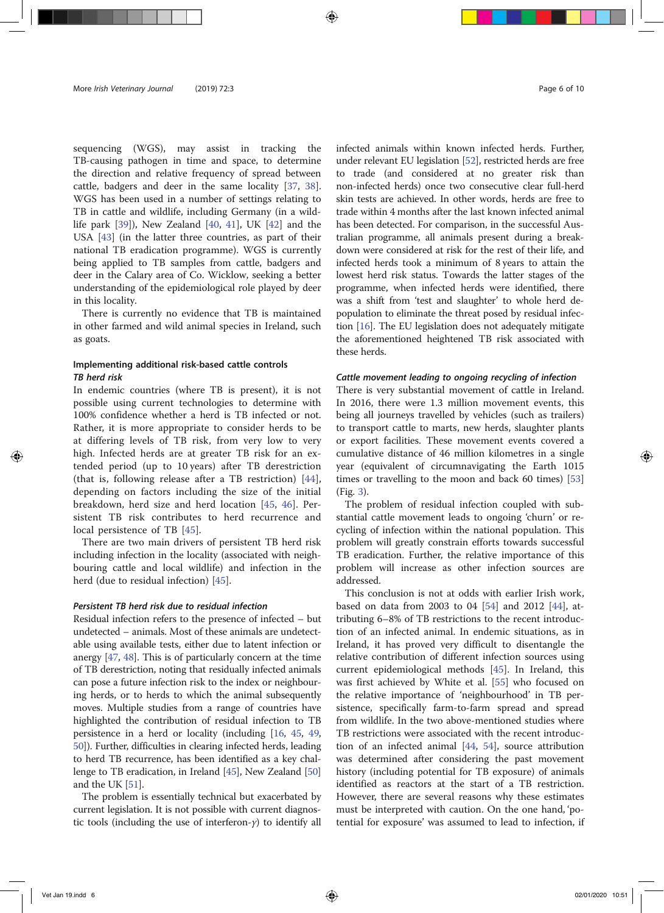sequencing (WGS), may assist in tracking the TB-causing pathogen in time and space, to determine the direction and relative frequency of spread between cattle, badgers and deer in the same locality [37, 38]. WGS has been used in a number of settings relating to TB in cattle and wildlife, including Germany (in a wildlife park [39]), New Zealand [40, 41], UK [42] and the USA [43] (in the latter three countries, as part of their national TB eradication programme). WGS is currently being applied to TB samples from cattle, badgers and deer in the Calary area of Co. Wicklow, seeking a better understanding of the epidemiological role played by deer in this locality.

There is currently no evidence that TB is maintained in other farmed and wild animal species in Ireland, such as goats.

# Implementing additional risk-based cattle controls TB herd risk

In endemic countries (where TB is present), it is not possible using current technologies to determine with 100% confidence whether a herd is TB infected or not. Rather, it is more appropriate to consider herds to be at differing levels of TB risk, from very low to very high. Infected herds are at greater TB risk for an extended period (up to 10 years) after TB derestriction (that is, following release after a TB restriction) [44], depending on factors including the size of the initial breakdown, herd size and herd location [45, 46]. Persistent TB risk contributes to herd recurrence and local persistence of TB [45].

There are two main drivers of persistent TB herd risk including infection in the locality (associated with neighbouring cattle and local wildlife) and infection in the herd (due to residual infection) [45].

#### Persistent TB herd risk due to residual infection

Residual infection refers to the presence of infected – but undetected – animals. Most of these animals are undetectable using available tests, either due to latent infection or anergy [47, 48]. This is of particularly concern at the time of TB derestriction, noting that residually infected animals can pose a future infection risk to the index or neighbouring herds, or to herds to which the animal subsequently moves. Multiple studies from a range of countries have highlighted the contribution of residual infection to TB persistence in a herd or locality (including [16, 45, 49, 50]). Further, difficulties in clearing infected herds, leading to herd TB recurrence, has been identified as a key challenge to TB eradication, in Ireland [45], New Zealand [50] and the UK [51].

The problem is essentially technical but exacerbated by current legislation. It is not possible with current diagnostic tools (including the use of interferon- $\gamma$ ) to identify all

infected animals within known infected herds. Further, under relevant EU legislation [52], restricted herds are free to trade (and considered at no greater risk than non-infected herds) once two consecutive clear full-herd skin tests are achieved. In other words, herds are free to trade within 4 months after the last known infected animal has been detected. For comparison, in the successful Australian programme, all animals present during a breakdown were considered at risk for the rest of their life, and infected herds took a minimum of 8 years to attain the lowest herd risk status. Towards the latter stages of the programme, when infected herds were identified, there was a shift from 'test and slaughter' to whole herd depopulation to eliminate the threat posed by residual infection [16]. The EU legislation does not adequately mitigate the aforementioned heightened TB risk associated with these herds.

## Cattle movement leading to ongoing recycling of infection

There is very substantial movement of cattle in Ireland. In 2016, there were 1.3 million movement events, this being all journeys travelled by vehicles (such as trailers) to transport cattle to marts, new herds, slaughter plants or export facilities. These movement events covered a cumulative distance of 46 million kilometres in a single year (equivalent of circumnavigating the Earth 1015 times or travelling to the moon and back 60 times) [53] (Fig. 3).

The problem of residual infection coupled with substantial cattle movement leads to ongoing 'churn' or recycling of infection within the national population. This problem will greatly constrain efforts towards successful TB eradication. Further, the relative importance of this problem will increase as other infection sources are addressed.

This conclusion is not at odds with earlier Irish work, based on data from 2003 to 04 [54] and 2012 [44], attributing 6–8% of TB restrictions to the recent introduction of an infected animal. In endemic situations, as in Ireland, it has proved very difficult to disentangle the relative contribution of different infection sources using current epidemiological methods [45]. In Ireland, this was first achieved by White et al. [55] who focused on the relative importance of 'neighbourhood' in TB persistence, specifically farm-to-farm spread and spread from wildlife. In the two above-mentioned studies where TB restrictions were associated with the recent introduction of an infected animal [44, 54], source attribution was determined after considering the past movement history (including potential for TB exposure) of animals identified as reactors at the start of a TB restriction. However, there are several reasons why these estimates must be interpreted with caution. On the one hand, 'potential for exposure' was assumed to lead to infection, if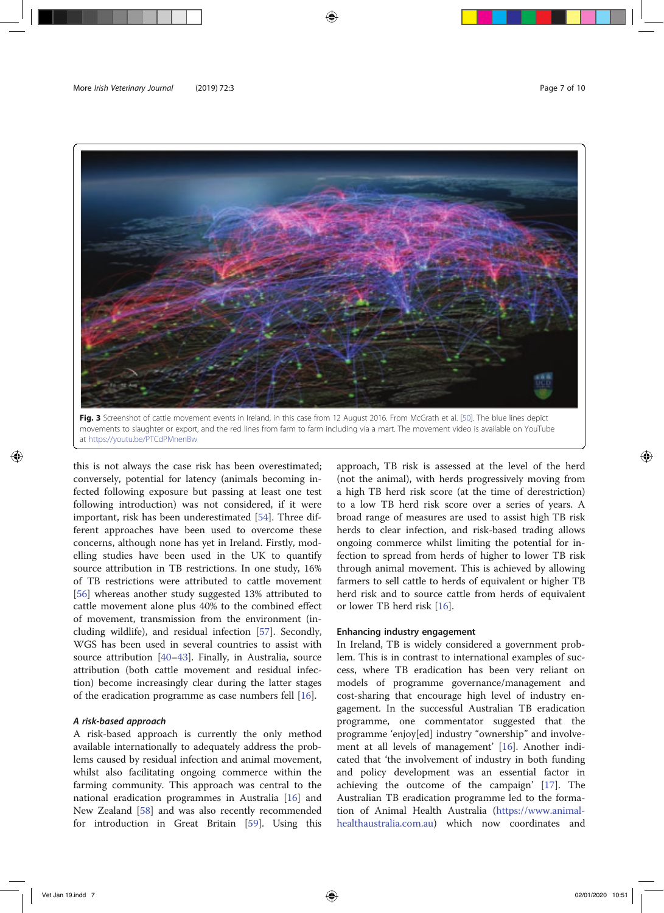

movements to slaughter or export, and the red lines from farm to farm including via a mart. The movement video is available on YouTube at https://youtu.be/PTCdPMnenBw

this is not always the case risk has been overestimated; conversely, potential for latency (animals becoming infected following exposure but passing at least one test following introduction) was not considered, if it were important, risk has been underestimated [54]. Three different approaches have been used to overcome these concerns, although none has yet in Ireland. Firstly, modelling studies have been used in the UK to quantify source attribution in TB restrictions. In one study, 16% of TB restrictions were attributed to cattle movement [56] whereas another study suggested 13% attributed to cattle movement alone plus 40% to the combined effect of movement, transmission from the environment (including wildlife), and residual infection [57]. Secondly, WGS has been used in several countries to assist with source attribution [40–43]. Finally, in Australia, source attribution (both cattle movement and residual infection) become increasingly clear during the latter stages of the eradication programme as case numbers fell [16].

# A risk-based approach

A risk-based approach is currently the only method available internationally to adequately address the problems caused by residual infection and animal movement, whilst also facilitating ongoing commerce within the farming community. This approach was central to the national eradication programmes in Australia [16] and New Zealand [58] and was also recently recommended for introduction in Great Britain [59]. Using this

approach, TB risk is assessed at the level of the herd (not the animal), with herds progressively moving from a high TB herd risk score (at the time of derestriction) to a low TB herd risk score over a series of years. A broad range of measures are used to assist high TB risk herds to clear infection, and risk-based trading allows ongoing commerce whilst limiting the potential for infection to spread from herds of higher to lower TB risk through animal movement. This is achieved by allowing farmers to sell cattle to herds of equivalent or higher TB herd risk and to source cattle from herds of equivalent or lower TB herd risk [16].

# Enhancing industry engagement

In Ireland, TB is widely considered a government problem. This is in contrast to international examples of success, where TB eradication has been very reliant on models of programme governance/management and cost-sharing that encourage high level of industry engagement. In the successful Australian TB eradication programme, one commentator suggested that the programme 'enjoy[ed] industry "ownership" and involvement at all levels of management' [16]. Another indicated that 'the involvement of industry in both funding and policy development was an essential factor in achieving the outcome of the campaign' [17]. The Australian TB eradication programme led to the formation of Animal Health Australia (https://www.animalhealthaustralia.com.au) which now coordinates and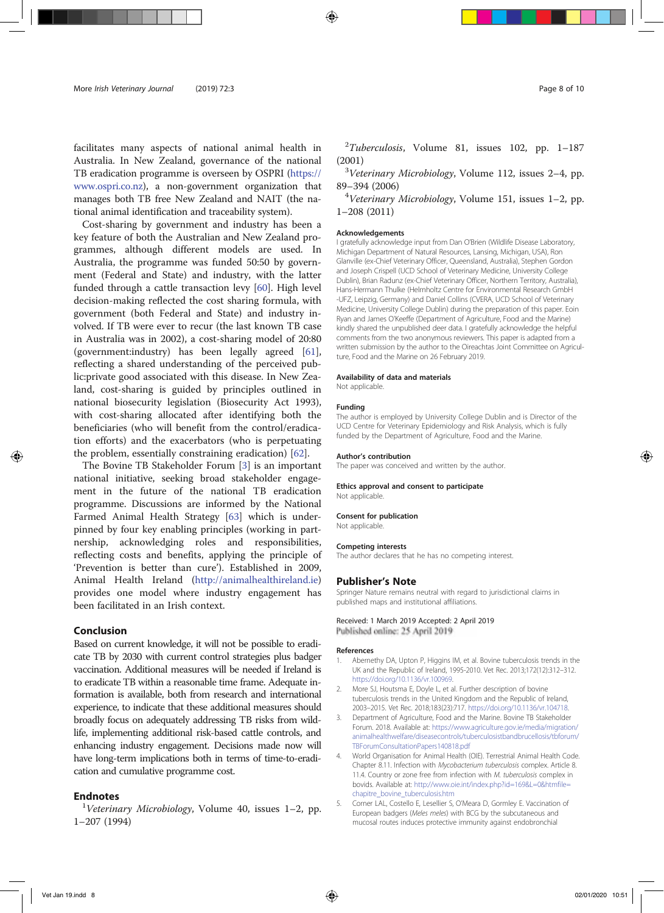facilitates many aspects of national animal health in Australia. In New Zealand, governance of the national TB eradication programme is overseen by OSPRI (https:// www.ospri.co.nz), a non-government organization that manages both TB free New Zealand and NAIT (the national animal identification and traceability system).

Cost-sharing by government and industry has been a key feature of both the Australian and New Zealand programmes, although different models are used. In Australia, the programme was funded 50:50 by government (Federal and State) and industry, with the latter funded through a cattle transaction levy [60]. High level decision-making reflected the cost sharing formula, with government (both Federal and State) and industry involved. If TB were ever to recur (the last known TB case in Australia was in 2002), a cost-sharing model of 20:80 (government:industry) has been legally agreed [61], reflecting a shared understanding of the perceived public:private good associated with this disease. In New Zealand, cost-sharing is guided by principles outlined in national biosecurity legislation (Biosecurity Act 1993), with cost-sharing allocated after identifying both the beneficiaries (who will benefit from the control/eradication efforts) and the exacerbators (who is perpetuating the problem, essentially constraining eradication) [62].

The Bovine TB Stakeholder Forum [3] is an important national initiative, seeking broad stakeholder engagement in the future of the national TB eradication programme. Discussions are informed by the National Farmed Animal Health Strategy [63] which is underpinned by four key enabling principles (working in partnership, acknowledging roles and responsibilities, reflecting costs and benefits, applying the principle of 'Prevention is better than cure'). Established in 2009, Animal Health Ireland (http://animalhealthireland.ie) provides one model where industry engagement has been facilitated in an Irish context.

## Conclusion

Based on current knowledge, it will not be possible to eradicate TB by 2030 with current control strategies plus badger vaccination. Additional measures will be needed if Ireland is to eradicate TB within a reasonable time frame. Adequate information is available, both from research and international experience, to indicate that these additional measures should broadly focus on adequately addressing TB risks from wildlife, implementing additional risk-based cattle controls, and enhancing industry engagement. Decisions made now will have long-term implications both in terms of time-to-eradication and cumulative programme cost.

# **Endnotes**

 $1$ Veterinary Microbiology, Volume 40, issues 1–2, pp. 1–207 (1994)

 $2$ Tuberculosis, Volume 81, issues 102, pp. 1-187  $(2001)$ 

 $3$ Veterinary Microbiology, Volume 112, issues 2-4, pp. <sup>89</sup>–394 (2006) <sup>4</sup>

 $4$ Veterinary Microbiology, Volume 151, issues 1-2, pp. 1–208 (2011)

#### Acknowledgements

I gratefully acknowledge input from Dan O'Brien (Wildlife Disease Laboratory, Michigan Department of Natural Resources, Lansing, Michigan, USA), Ron Glanville (ex-Chief Veterinary Officer, Queensland, Australia), Stephen Gordon and Joseph Crispell (UCD School of Veterinary Medicine, University College Dublin), Brian Radunz (ex-Chief Veterinary Officer, Northern Territory, Australia), Hans-Hermann Thulke (Helmholtz Centre for Environmental Research GmbH -UFZ, Leipzig, Germany) and Daniel Collins (CVERA, UCD School of Veterinary Medicine, University College Dublin) during the preparation of this paper. Eoin Ryan and James O'Keeffe (Department of Agriculture, Food and the Marine) kindly shared the unpublished deer data. I gratefully acknowledge the helpful comments from the two anonymous reviewers. This paper is adapted from a written submission by the author to the Oireachtas Joint Committee on Agriculture, Food and the Marine on 26 February 2019.

#### Availability of data and materials

Not applicable.

#### Funding

The author is employed by University College Dublin and is Director of the UCD Centre for Veterinary Epidemiology and Risk Analysis, which is fully funded by the Department of Agriculture, Food and the Marine.

#### Author's contribution

The paper was conceived and written by the author.

# Ethics approval and consent to participate

Not applicable.

#### Consent for publication

Not applicable.

#### Competing interests

The author declares that he has no competing interest.

#### Publisher's Note

Springer Nature remains neutral with regard to jurisdictional claims in published maps and institutional affiliations.

# Received: 1 March 2019 Accepted: 2 April 2019

Published online: 25 April 2019

#### References

- Abernethy DA, Upton P, Higgins IM, et al. Bovine tuberculosis trends in the UK and the Republic of Ireland, 1995-2010. Vet Rec. 2013;172(12):312–312. https://doi.org/10.1136/vr.100969.
- 2. More SJ, Houtsma E, Doyle L, et al. Further description of bovine tuberculosis trends in the United Kingdom and the Republic of Ireland, 2003–2015. Vet Rec. 2018;183(23):717. https://doi.org/10.1136/vr.104718.
- Department of Agriculture, Food and the Marine. Bovine TB Stakeholder Forum. 2018. Available at: https://www.agriculture.gov.ie/media/migration/ animalhealthwelfare/diseasecontrols/tuberculosistbandbrucellosis/tbforum/ TBForumConsultationPapers140818.pdf
- 4. World Organisation for Animal Health (OIE). Terrestrial Animal Health Code. Chapter 8.11. Infection with Mycobacterium tuberculosis complex. Article 8. 11.4. Country or zone free from infection with M. tuberculosis complex in bovids. Available at: http://www.oie.int/index.php?id=169&L=0&htmfile= chapitre\_bovine\_tuberculosis.htm
- 5. Corner LAL, Costello E, Lesellier S, O'Meara D, Gormley E. Vaccination of European badgers (Meles meles) with BCG by the subcutaneous and mucosal routes induces protective immunity against endobronchial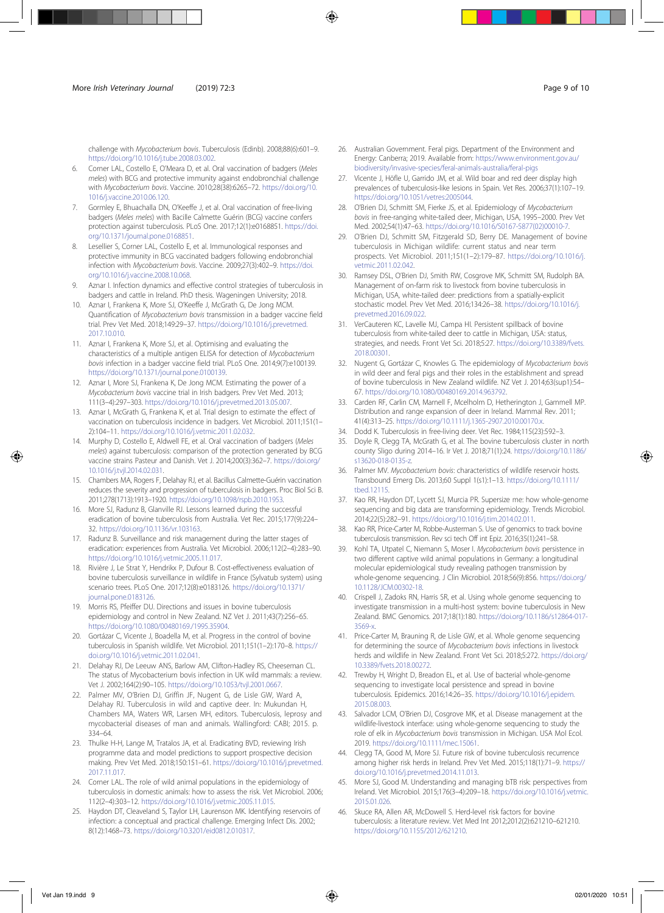challenge with Mycobacterium bovis. Tuberculosis (Edinb). 2008;88(6):601–9. https://doi.org/10.1016/j.tube.2008.03.002.

- 6. Corner LAL, Costello E, O'Meara D, et al. Oral vaccination of badgers (Meles meles) with BCG and protective immunity against endobronchial challenge with Mycobacterium bovis. Vaccine. 2010;28(38):6265–72. https://doi.org/10. 1016/j.vaccine.2010.06.120.
- 7. Gormley E, Bhuachalla DN, O'Keeffe J, et al. Oral vaccination of free-living badgers (Meles meles) with Bacille Calmette Guérin (BCG) vaccine confers protection against tuberculosis. PLoS One. 2017;12(1):e0168851. https://doi. org/10.1371/journal.pone.0168851.
- 8. Lesellier S, Corner LAL, Costello E, et al. Immunological responses and protective immunity in BCG vaccinated badgers following endobronchial infection with Mycobacterium bovis. Vaccine. 2009;27(3):402–9. https://doi. org/10.1016/j.vaccine.2008.10.068.
- 9. Aznar I. Infection dynamics and effective control strategies of tuberculosis in badgers and cattle in Ireland. PhD thesis. Wageningen University; 2018.
- 10. Aznar I, Frankena K, More SJ, O'Keeffe J, McGrath G, De Jong MCM. Quantification of Mycobacterium bovis transmission in a badger vaccine field trial. Prev Vet Med. 2018;149:29–37. https://doi.org/10.1016/j.prevetmed. 2017.10.010.
- 11. Aznar I, Frankena K, More SJ, et al. Optimising and evaluating the characteristics of a multiple antigen ELISA for detection of Mycobacterium bovis infection in a badger vaccine field trial. PLoS One. 2014;9(7):e100139. https://doi.org/10.1371/journal.pone.0100139.
- 12. Aznar I, More SJ, Frankena K, De Jong MCM. Estimating the power of a Mycobacterium bovis vaccine trial in Irish badgers. Prev Vet Med. 2013; 111(3–4):297–303. https://doi.org/10.1016/j.prevetmed.2013.05.007.
- 13. Aznar I, McGrath G, Frankena K, et al. Trial design to estimate the effect of vaccination on tuberculosis incidence in badgers. Vet Microbiol. 2011;151(1– 2):104–11. https://doi.org/10.1016/j.vetmic.2011.02.032.
- 14. Murphy D, Costello E, Aldwell FE, et al. Oral vaccination of badgers (Meles meles) against tuberculosis: comparison of the protection generated by BCG vaccine strains Pasteur and Danish. Vet J. 2014;200(3):362–7. https://doi.org/ 10.1016/j.tvjl.2014.02.031.
- 15. Chambers MA, Rogers F, Delahay RJ, et al. Bacillus Calmette-Guérin vaccination reduces the severity and progression of tuberculosis in badgers. Proc Biol Sci B. 2011;278(1713):1913–1920. https://doi.org/10.1098/rspb.2010.1953.
- 16. More SJ, Radunz B, Glanville RJ. Lessons learned during the successful eradication of bovine tuberculosis from Australia. Vet Rec. 2015;177(9):224– 32. https://doi.org/10.1136/vr.103163.
- 17. Radunz B. Surveillance and risk management during the latter stages of eradication: experiences from Australia. Vet Microbiol. 2006;112(2–4):283–90. https://doi.org/10.1016/j.vetmic.2005.11.017.
- 18. Rivière J, Le Strat Y, Hendrikx P, Dufour B. Cost-effectiveness evaluation of bovine tuberculosis surveillance in wildlife in France (Sylvatub system) using scenario trees. PLoS One. 2017;12(8):e0183126. https://doi.org/10.1371/ journal.pone.0183126.
- 19. Morris RS, Pfeiffer DU. Directions and issues in bovine tuberculosis epidemiology and control in New Zealand. NZ Vet J. 2011;43(7):256–65. https://doi.org/10.1080/00480169./1995.35904.
- 20. Gortázar C, Vicente J, Boadella M, et al. Progress in the control of bovine tuberculosis in Spanish wildlife. Vet Microbiol. 2011;151(1–2):170–8. https:// doi.org/10.1016/j.vetmic.2011.02.041.
- 21. Delahay RJ, De Leeuw ANS, Barlow AM, Clifton-Hadley RS, Cheeseman CL. The status of Mycobacterium bovis infection in UK wild mammals: a review. Vet J. 2002;164(2):90–105. https://doi.org/10.1053/tvjl.2001.0667.
- Palmer MV, O'Brien DJ, Griffin JF, Nugent G, de Lisle GW, Ward A, Delahay RJ. Tuberculosis in wild and captive deer. In: Mukundan H, Chambers MA, Waters WR, Larsen MH, editors. Tuberculosis, leprosy and mycobacterial diseases of man and animals. Wallingford: CABI; 2015. p. 334–64.
- 23. Thulke H-H, Lange M, Tratalos JA, et al. Eradicating BVD, reviewing Irish programme data and model predictions to support prospective decision making. Prev Vet Med. 2018;150:151–61. https://doi.org/10.1016/j.prevetmed. 2017.11.017.
- 24. Corner LAL. The role of wild animal populations in the epidemiology of tuberculosis in domestic animals: how to assess the risk. Vet Microbiol. 2006; 112(2–4):303–12. https://doi.org/10.1016/j.vetmic.2005.11.015.
- 25. Haydon DT, Cleaveland S, Taylor LH, Laurenson MK. Identifying reservoirs of infection: a conceptual and practical challenge. Emerging Infect Dis. 2002; 8(12):1468–73. https://doi.org/10.3201/eid0812.010317.
- 26. Australian Government. Feral pigs. Department of the Environment and Energy: Canberra; 2019. Available from: https://www.environment.gov.au/ biodiversity/invasive-species/feral-animals-australia/feral-pigs
- 27. Vicente J, Höfle U, Garrido JM, et al. Wild boar and red deer display high prevalences of tuberculosis-like lesions in Spain. Vet Res. 2006;37(1):107–19. https://doi.org/10.1051/vetres:2005044.
- 28. O'Brien DJ, Schmitt SM, Fierke JS, et al. Epidemiology of Mycobacterium bovis in free-ranging white-tailed deer, Michigan, USA, 1995–2000. Prev Vet Med. 2002;54(1):47–63. https://doi.org/10.1016/S0167-5877(02)00010-7.
- 29. O'Brien DJ, Schmitt SM, Fitzgerald SD, Berry DE. Management of bovine tuberculosis in Michigan wildlife: current status and near term prospects. Vet Microbiol. 2011;151(1–2):179–87. https://doi.org/10.1016/j. vetmic.2011.02.042.
- Ramsey DSL, O'Brien DJ, Smith RW, Cosgrove MK, Schmitt SM, Rudolph BA. Management of on-farm risk to livestock from bovine tuberculosis in Michigan, USA, white-tailed deer: predictions from a spatially-explicit stochastic model. Prev Vet Med. 2016;134:26–38. https://doi.org/10.1016/j. prevetmed.2016.09.022.
- 31. VerCauteren KC, Lavelle MJ, Campa HI. Persistent spillback of bovine tuberculosis from white-tailed deer to cattle in Michigan, USA: status, strategies, and needs. Front Vet Sci. 2018;5:27. https://doi.org/10.3389/fvets. 2018.00301.
- 32. Nugent G, Gortázar C, Knowles G. The epidemiology of Mycobacterium bovis in wild deer and feral pigs and their roles in the establishment and spread of bovine tuberculosis in New Zealand wildlife. NZ Vet J. 2014;63(sup1):54– 67. https://doi.org/10.1080/00480169.2014.963792.
- 33. Carden RF, Carlin CM, Marnell F, Mcelholm D, Hetherington J, Gammell MP. Distribution and range expansion of deer in Ireland. Mammal Rev. 2011; 41(4):313–25. https://doi.org/10.1111/j.1365-2907.2010.00170.x.
- 34. Dodd K. Tuberculosis in free-living deer. Vet Rec. 1984;115(23):592–3.
- 35. Doyle R, Clegg TA, McGrath G, et al. The bovine tuberculosis cluster in north county Sligo during 2014–16. Ir Vet J. 2018;71(1):24. https://doi.org/10.1186/ s13620-018-0135-z.
- Palmer MV. Mycobacterium bovis: characteristics of wildlife reservoir hosts. Transbound Emerg Dis. 2013;60 Suppl 1(s1):1–13. https://doi.org/10.1111/ tbed.12115.
- 37. Kao RR, Haydon DT, Lycett SJ, Murcia PR. Supersize me: how whole-genome sequencing and big data are transforming epidemiology. Trends Microbiol. 2014;22(5):282–91. https://doi.org/10.1016/j.tim.2014.02.011.
- 38. Kao RR, Price-Carter M, Robbe-Austerman S. Use of genomics to track bovine tuberculosis transmission. Rev sci tech Off int Epiz. 2016;35(1):241–58.
- 39. Kohl TA, Utpatel C, Niemann S, Moser I. Mycobacterium bovis persistence in two different captive wild animal populations in Germany: a longitudinal molecular epidemiological study revealing pathogen transmission by whole-genome sequencing. J Clin Microbiol. 2018;56(9):856. https://doi.org/ 10.1128/JCM.00302-18.
- 40. Crispell J, Zadoks RN, Harris SR, et al. Using whole genome sequencing to investigate transmission in a multi-host system: bovine tuberculosis in New Zealand. BMC Genomics. 2017;18(1):180. https://doi.org/10.1186/s12864-017- 3569-x.
- 41. Price-Carter M, Brauning R, de Lisle GW, et al. Whole genome sequencing for determining the source of Mycobacterium bovis infections in livestock herds and wildlife in New Zealand. Front Vet Sci. 2018;5:272. https://doi.org/ 10.3389/fvets.2018.00272.
- 42. Trewby H, Wright D, Breadon EL, et al. Use of bacterial whole-genome sequencing to investigate local persistence and spread in bovine tuberculosis. Epidemics. 2016;14:26–35. https://doi.org/10.1016/j.epidem. 2015.08.003.
- 43. Salvador LCM, O'Brien DJ, Cosgrove MK, et al. Disease management at the wildlife-livestock interface: using whole-genome sequencing to study the role of elk in Mycobacterium bovis transmission in Michigan. USA Mol Ecol. 2019. https://doi.org/10.1111/mec.15061.
- 44. Clegg TA, Good M, More SJ. Future risk of bovine tuberculosis recurrence among higher risk herds in Ireland. Prev Vet Med. 2015;118(1):71–9. https:// doi.org/10.1016/j.prevetmed.2014.11.013.
- 45. More SJ, Good M. Understanding and managing bTB risk: perspectives from Ireland. Vet Microbiol. 2015;176(3–4):209–18. https://doi.org/10.1016/j.vetmic. 2015.01.026.
- 46. Skuce RA, Allen AR, McDowell S. Herd-level risk factors for bovine tuberculosis: a literature review. Vet Med Int 2012;2012(2):621210–621210. https://doi.org/10.1155/2012/621210.